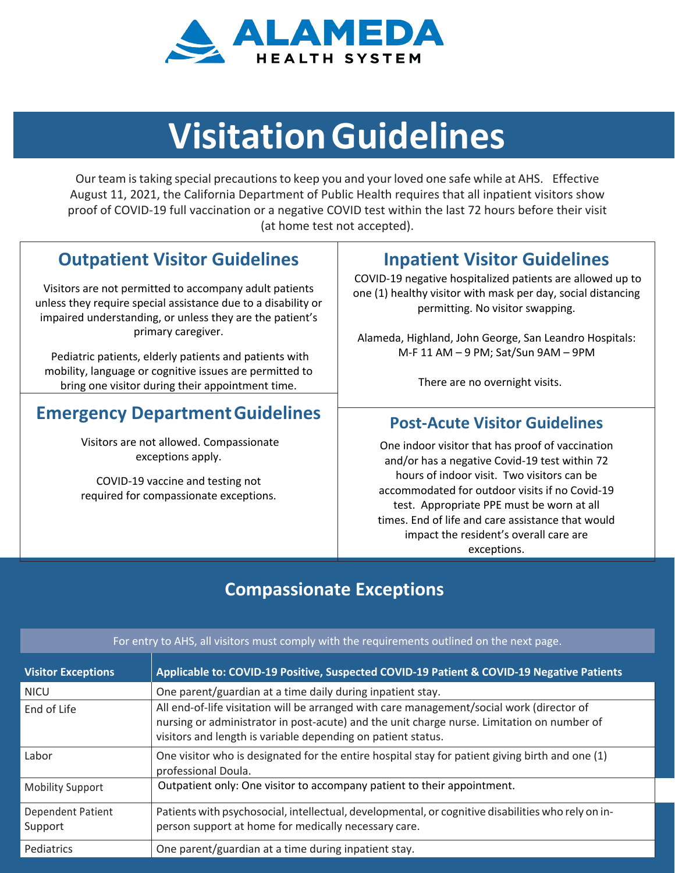

# **VisitationGuidelines**

Our team istaking special precautionsto keep you and your loved one safe while at AHS. Effective August 11, 2021, the California Department of Public Health requires that all inpatient visitors show proof of COVID-19 full vaccination or a negative COVID test within the last 72 hours before their visit (at home test not accepted).

## **Outpatient Visitor Guidelines**

Visitors are not permitted to accompany adult patients unless they require special assistance due to a disability or impaired understanding, or unless they are the patient's primary caregiver.

Pediatric patients, elderly patients and patients with mobility, language or cognitive issues are permitted to bring one visitor during their appointment time.

### **Emergency DepartmentGuidelines**

Visitors are not allowed. Compassionate exceptions apply.

COVID-19 vaccine and testing not required for compassionate exceptions.

### **Inpatient Visitor Guidelines**

COVID-19 negative hospitalized patients are allowed up to one (1) healthy visitor with mask per day, social distancing permitting. No visitor swapping.

Alameda, Highland, John George, San Leandro Hospitals: M-F 11 AM – 9 PM; Sat/Sun 9AM – 9PM

There are no overnight visits.

#### **Post-Acute Visitor Guidelines**

One indoor visitor that has proof of vaccination and/or has a negative Covid-19 test within 72 hours of indoor visit. Two visitors can be accommodated for outdoor visits if no Covid-19 test. Appropriate PPE must be worn at all times. End of life and care assistance that would impact the resident's overall care are exceptions.

## **Compassionate Exceptions**

| For entry to AHS, all visitors must comply with the requirements outlined on the next page. |                                                                                                                                                                                                                                                         |
|---------------------------------------------------------------------------------------------|---------------------------------------------------------------------------------------------------------------------------------------------------------------------------------------------------------------------------------------------------------|
| <b>Visitor Exceptions</b>                                                                   | Applicable to: COVID-19 Positive, Suspected COVID-19 Patient & COVID-19 Negative Patients                                                                                                                                                               |
| <b>NICU</b>                                                                                 | One parent/guardian at a time daily during inpatient stay.                                                                                                                                                                                              |
| End of Life                                                                                 | All end-of-life visitation will be arranged with care management/social work (director of<br>nursing or administrator in post-acute) and the unit charge nurse. Limitation on number of<br>visitors and length is variable depending on patient status. |
| Labor                                                                                       | One visitor who is designated for the entire hospital stay for patient giving birth and one (1)<br>professional Doula.                                                                                                                                  |
| <b>Mobility Support</b>                                                                     | Outpatient only: One visitor to accompany patient to their appointment.                                                                                                                                                                                 |
| <b>Dependent Patient</b><br>Support                                                         | Patients with psychosocial, intellectual, developmental, or cognitive disabilities who rely on in-<br>person support at home for medically necessary care.                                                                                              |
| Pediatrics                                                                                  | One parent/guardian at a time during inpatient stay.                                                                                                                                                                                                    |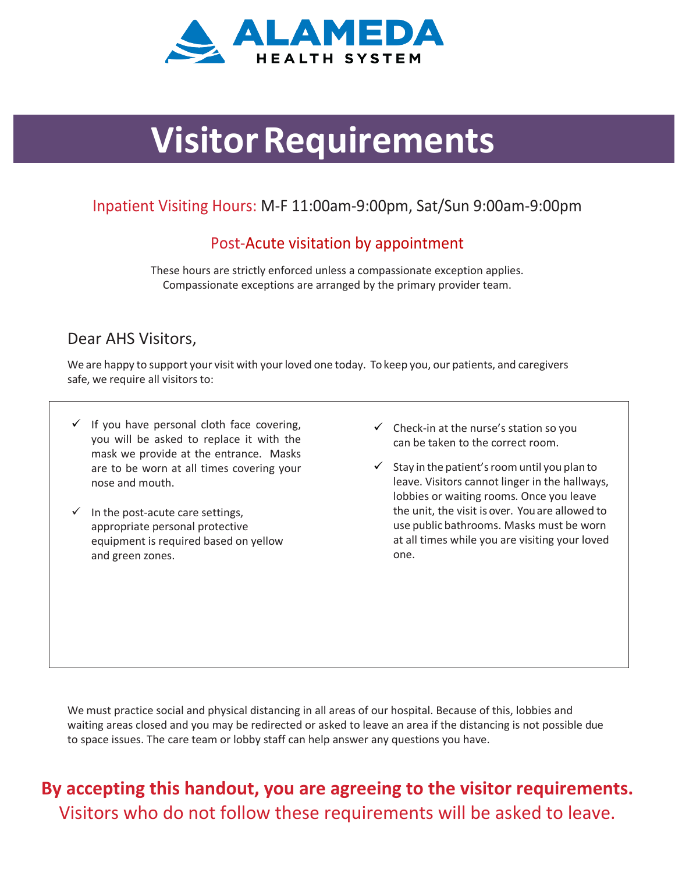

# *Visitor Requirements*

#### Inpatient Visiting Hours: M-F 11:00am-9:00pm, Sat/Sun 9:00am-9:00pm

#### Post-Acute visitation by appointment

These hours are strictly enforced unless a compassionate exception applies. Compassionate exceptions are arranged by the primary provider team.

#### Dear AHS Visitors,

We are happy to support your visit with your loved one today. To keep you, our patients, and caregivers safe, we require all visitors to:

- $\checkmark$  If you have personal cloth face covering, you will be asked to replace it with the mask we provide at the entrance. Masks are to be worn at all times covering your nose and mouth.
- $\checkmark$  In the post-acute care settings, appropriate personal protective equipment is required based on yellow and green zones.
- $\checkmark$  Check-in at the nurse's station so you can be taken to the correct room.
- $\checkmark$  Stay in the patient's room until you plan to leave. Visitors cannot linger in the hallways, lobbies or waiting rooms. Once you leave the unit, the visit is over. Youare allowed to use public bathrooms. Masks must be worn at all times while you are visiting your loved one.

We must practice social and physical distancing in all areas of our hospital. Because of this, lobbies and waiting areas closed and you may be redirected or asked to leave an area if the distancing is not possible due to space issues. The care team or lobby staff can help answer any questions you have.

# **By accepting this handout, you are agreeing to the visitor requirements.** Visitors who do not follow these requirements will be asked to leave.